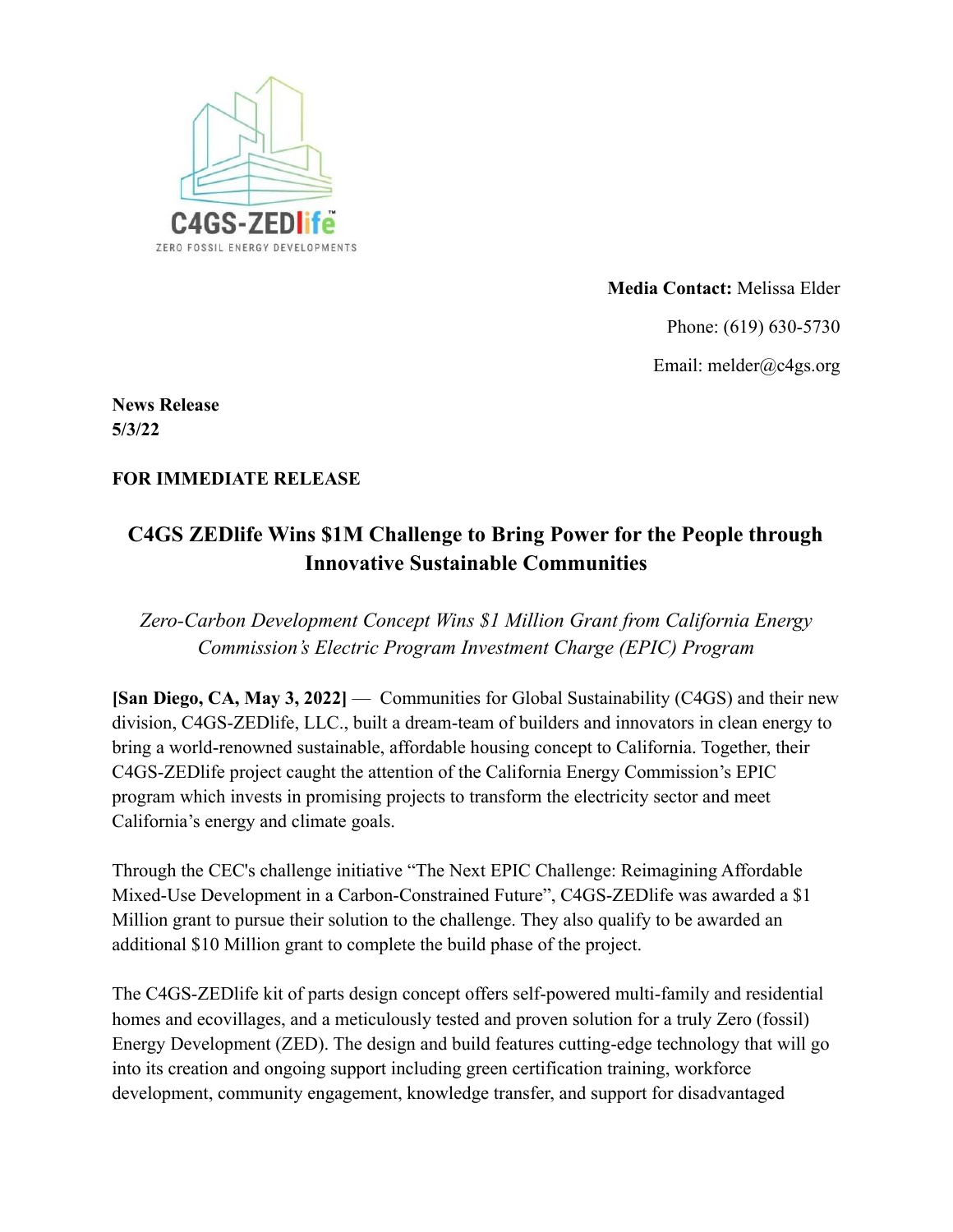

**Media Contact:** Melissa Elder Phone: (619) 630-5730 Email: melder@c4gs.org

**News Release 5/3/22**

## **FOR IMMEDIATE RELEASE**

## **C4GS ZEDlife Wins \$1M Challenge to Bring Power for the People through Innovative Sustainable Communities**

*Zero-Carbon Development Concept Wins \$1 Million Grant from California Energy Commission's Electric Program Investment Charge (EPIC) Program*

**[San Diego, CA, May 3, 2022]** — Communities for Global Sustainability (C4GS) and their new division, C4GS-ZEDlife, LLC., built a dream-team of builders and innovators in clean energy to bring a world-renowned sustainable, affordable housing concept to California. Together, their C4GS-ZEDlife project caught the attention of the California Energy Commission's EPIC program which invests in promising projects to transform the electricity sector and meet California's energy and climate goals.

Through the CEC's challenge initiative "The Next EPIC Challenge: Reimagining Affordable Mixed-Use Development in a Carbon-Constrained Future", C4GS-ZEDlife was awarded a \$1 Million grant to pursue their solution to the challenge. They also qualify to be awarded an additional \$10 Million grant to complete the build phase of the project.

The C4GS-ZEDlife kit of parts design concept offers self-powered multi-family and residential homes and ecovillages, and a meticulously tested and proven solution for a truly Zero (fossil) Energy Development (ZED). The design and build features cutting-edge technology that will go into its creation and ongoing support including green certification training, workforce development, community engagement, knowledge transfer, and support for disadvantaged